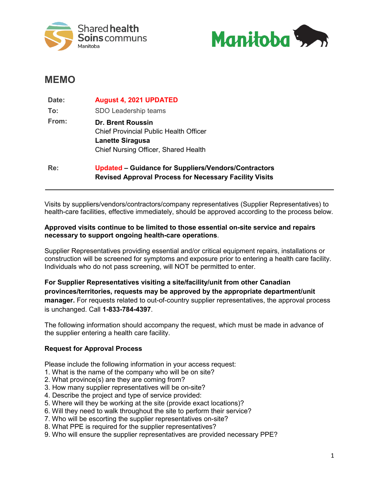



# **MEMO**

| Date: | <b>August 4, 2021 UPDATED</b>                                                                                                                |
|-------|----------------------------------------------------------------------------------------------------------------------------------------------|
| To:   | SDO Leadership teams                                                                                                                         |
| From: | <b>Dr. Brent Roussin</b><br><b>Chief Provincial Public Health Officer</b><br><b>Lanette Siragusa</b><br>Chief Nursing Officer, Shared Health |
| Re:   | Updated – Guidance for Suppliers/Vendors/Contractors<br><b>Revised Approval Process for Necessary Facility Visits</b>                        |

Visits by suppliers/vendors/contractors/company representatives (Supplier Representatives) to health-care facilities, effective immediately, should be approved according to the process below.

### **Approved visits continue to be limited to those essential on-site service and repairs necessary to support ongoing health-care operations**.

Supplier Representatives providing essential and/or critical equipment repairs, installations or construction will be screened for symptoms and exposure prior to entering a health care facility. Individuals who do not pass screening, will NOT be permitted to enter.

**For Supplier Representatives visiting a site/facility/unit from other Canadian provinces/territories, requests may be approved by the appropriate department/unit manager.** For requests related to out-of-country supplier representatives, the approval process is unchanged. Call **1-833-784-4397**.

The following information should accompany the request, which must be made in advance of the supplier entering a health care facility.

## **Request for Approval Process**

Please include the following information in your access request:

- 1. What is the name of the company who will be on site?
- 2. What province(s) are they are coming from?
- 3. How many supplier representatives will be on-site?
- 4. Describe the project and type of service provided:
- 5. Where will they be working at the site (provide exact locations)?
- 6. Will they need to walk throughout the site to perform their service?
- 7. Who will be escorting the supplier representatives on-site?
- 8. What PPE is required for the supplier representatives?
- 9. Who will ensure the supplier representatives are provided necessary PPE?